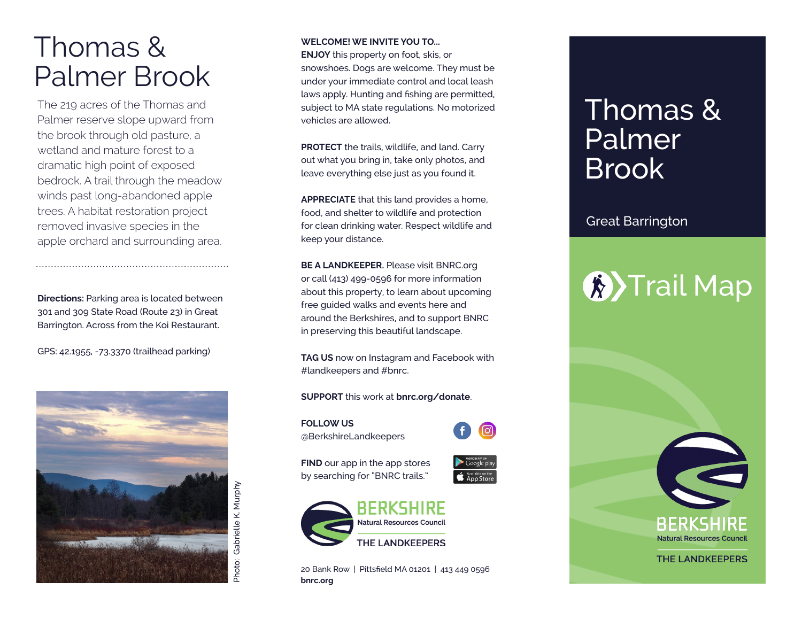## Thomas & Palmer Brook

The 219 acres of the Thomas and Palmer reserve slope upward from the brook through old pasture, a wetland and mature forest to a dramatic high point of exposed bedrock. A trail through the meadow winds past long-abandoned apple trees. A habitat restoration project removed invasive species in the apple orchard and surrounding area.

**Directions:** Parking area is located between 301 and 309 State Road (Route 23) in Great Barrington. Across from the Koi Restaurant.

GPS: 42.1955, -73.3370 (trailhead parking)



### **WELCOME! WE INVITE YOU TO...**

**ENJOY** this property on foot, skis, or snowshoes. Dogs are welcome. They must be under your immediate control and local leash laws apply. Hunting and fishing are permitted, subject to MA state regulations. No motorized vehicles are allowed.

**PROTECT** the trails, wildlife, and land. Carry out what you bring in, take only photos, and leave everything else just as you found it.

**APPRECIATE** that this land provides a home, food, and shelter to wildlife and protection for clean drinking water. Respect wildlife and keep your distance.

**BE A LANDKEEPER.** Please visit BNRC.org or call (413) 499-0596 for more information about this property, to learn about upcoming free guided walks and events here and around the Berkshires, and to support BNRC in preserving this beautiful landscape.

**TAG US** now on Instagram and Facebook with #landkeepers and #bnrc.

#### **SUPPORT** this work at **bnrc.org/donate** .

**FOLLOW US** @BerkshireLandkeepers



**FIND** our app in the app stores by searching for "BNRC trails."





20 Bank Row | Pittsfield MA 01201 | 413 449 0596 **bnrc.org**

## Thomas & Palmer Brook

## Great Barrington

# **K**>Trail Map